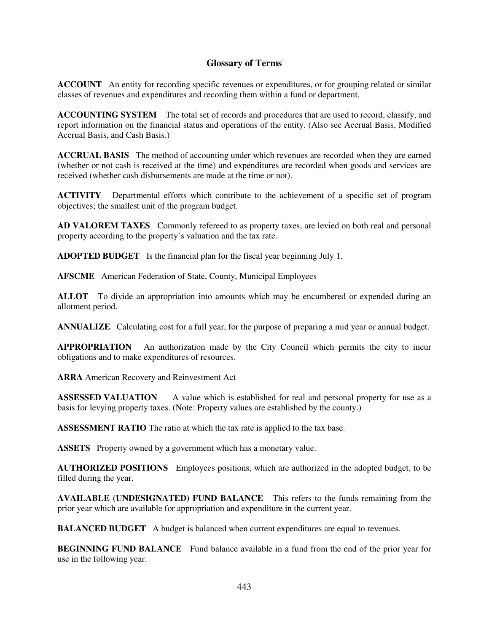## **Glossary of Terms**

**ACCOUNT** An entity for recording specific revenues or expenditures, or for grouping related or similar classes of revenues and expenditures and recording them within a fund or department.

**ACCOUNTING SYSTEM** The total set of records and procedures that are used to record, classify, and report information on the financial status and operations of the entity. (Also see Accrual Basis, Modified Accrual Basis, and Cash Basis.)

**ACCRUAL BASIS** The method of accounting under which revenues are recorded when they are earned (whether or not cash is received at the time) and expenditures are recorded when goods and services are received (whether cash disbursements are made at the time or not).

**ACTIVITY** Departmental efforts which contribute to the achievement of a specific set of program objectives; the smallest unit of the program budget.

**AD VALOREM TAXES** Commonly refereed to as property taxes, are levied on both real and personal property according to the property's valuation and the tax rate.

**ADOPTED BUDGET** Is the financial plan for the fiscal year beginning July 1.

**AFSCME** American Federation of State, County, Municipal Employees

**ALLOT** To divide an appropriation into amounts which may be encumbered or expended during an allotment period.

**ANNUALIZE** Calculating cost for a full year, for the purpose of preparing a mid year or annual budget.

**APPROPRIATION** An authorization made by the City Council which permits the city to incur obligations and to make expenditures of resources.

**ARRA** American Recovery and Reinvestment Act

**ASSESSED VALUATION** A value which is established for real and personal property for use as a basis for levying property taxes. (Note: Property values are established by the county.)

**ASSESSMENT RATIO** The ratio at which the tax rate is applied to the tax base.

**ASSETS** Property owned by a government which has a monetary value.

**AUTHORIZED POSITIONS** Employees positions, which are authorized in the adopted budget, to be filled during the year.

**AVAILABLE (UNDESIGNATED) FUND BALANCE** This refers to the funds remaining from the prior year which are available for appropriation and expenditure in the current year.

**BALANCED BUDGET** A budget is balanced when current expenditures are equal to revenues.

**BEGINNING FUND BALANCE** Fund balance available in a fund from the end of the prior year for use in the following year.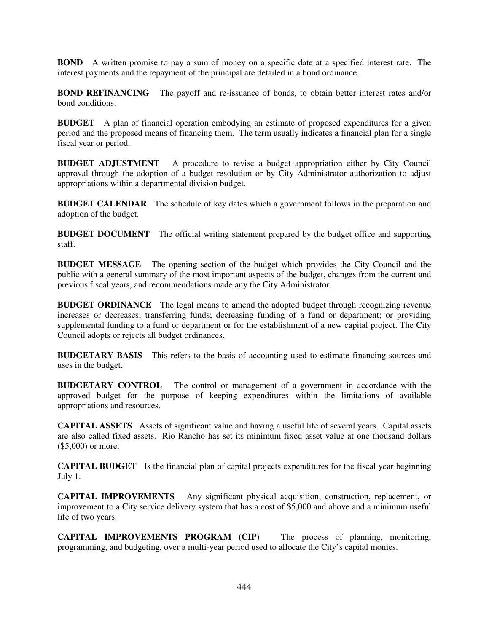**BOND** A written promise to pay a sum of money on a specific date at a specified interest rate. The interest payments and the repayment of the principal are detailed in a bond ordinance.

**BOND REFINANCING** The payoff and re-issuance of bonds, to obtain better interest rates and/or bond conditions.

**BUDGET** A plan of financial operation embodying an estimate of proposed expenditures for a given period and the proposed means of financing them. The term usually indicates a financial plan for a single fiscal year or period.

**BUDGET ADJUSTMENT** A procedure to revise a budget appropriation either by City Council approval through the adoption of a budget resolution or by City Administrator authorization to adjust appropriations within a departmental division budget.

**BUDGET CALENDAR** The schedule of key dates which a government follows in the preparation and adoption of the budget.

**BUDGET DOCUMENT** The official writing statement prepared by the budget office and supporting staff.

**BUDGET MESSAGE** The opening section of the budget which provides the City Council and the public with a general summary of the most important aspects of the budget, changes from the current and previous fiscal years, and recommendations made any the City Administrator.

**BUDGET ORDINANCE** The legal means to amend the adopted budget through recognizing revenue increases or decreases; transferring funds; decreasing funding of a fund or department; or providing supplemental funding to a fund or department or for the establishment of a new capital project. The City Council adopts or rejects all budget ordinances.

**BUDGETARY BASIS** This refers to the basis of accounting used to estimate financing sources and uses in the budget.

**BUDGETARY CONTROL** The control or management of a government in accordance with the approved budget for the purpose of keeping expenditures within the limitations of available appropriations and resources.

**CAPITAL ASSETS** Assets of significant value and having a useful life of several years. Capital assets are also called fixed assets. Rio Rancho has set its minimum fixed asset value at one thousand dollars (\$5,000) or more.

**CAPITAL BUDGET** Is the financial plan of capital projects expenditures for the fiscal year beginning July 1.

**CAPITAL IMPROVEMENTS** Any significant physical acquisition, construction, replacement, or improvement to a City service delivery system that has a cost of \$5,000 and above and a minimum useful life of two years.

**CAPITAL IMPROVEMENTS PROGRAM (CIP)** The process of planning, monitoring, programming, and budgeting, over a multi-year period used to allocate the City's capital monies.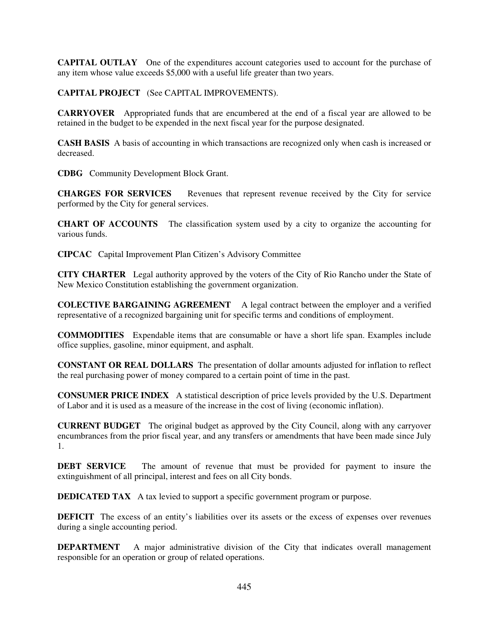**CAPITAL OUTLAY** One of the expenditures account categories used to account for the purchase of any item whose value exceeds \$5,000 with a useful life greater than two years.

**CAPITAL PROJECT** (See CAPITAL IMPROVEMENTS).

**CARRYOVER** Appropriated funds that are encumbered at the end of a fiscal year are allowed to be retained in the budget to be expended in the next fiscal year for the purpose designated.

**CASH BASIS** A basis of accounting in which transactions are recognized only when cash is increased or decreased.

**CDBG** Community Development Block Grant.

**CHARGES FOR SERVICES** Revenues that represent revenue received by the City for service performed by the City for general services.

**CHART OF ACCOUNTS** The classification system used by a city to organize the accounting for various funds.

**CIPCAC** Capital Improvement Plan Citizen's Advisory Committee

**CITY CHARTER** Legal authority approved by the voters of the City of Rio Rancho under the State of New Mexico Constitution establishing the government organization.

**COLECTIVE BARGAINING AGREEMENT** A legal contract between the employer and a verified representative of a recognized bargaining unit for specific terms and conditions of employment.

**COMMODITIES** Expendable items that are consumable or have a short life span. Examples include office supplies, gasoline, minor equipment, and asphalt.

**CONSTANT OR REAL DOLLARS** The presentation of dollar amounts adjusted for inflation to reflect the real purchasing power of money compared to a certain point of time in the past.

**CONSUMER PRICE INDEX** A statistical description of price levels provided by the U.S. Department of Labor and it is used as a measure of the increase in the cost of living (economic inflation).

**CURRENT BUDGET** The original budget as approved by the City Council, along with any carryover encumbrances from the prior fiscal year, and any transfers or amendments that have been made since July 1.

**DEBT SERVICE** The amount of revenue that must be provided for payment to insure the extinguishment of all principal, interest and fees on all City bonds.

**DEDICATED TAX** A tax levied to support a specific government program or purpose.

**DEFICIT** The excess of an entity's liabilities over its assets or the excess of expenses over revenues during a single accounting period.

**DEPARTMENT** A major administrative division of the City that indicates overall management responsible for an operation or group of related operations.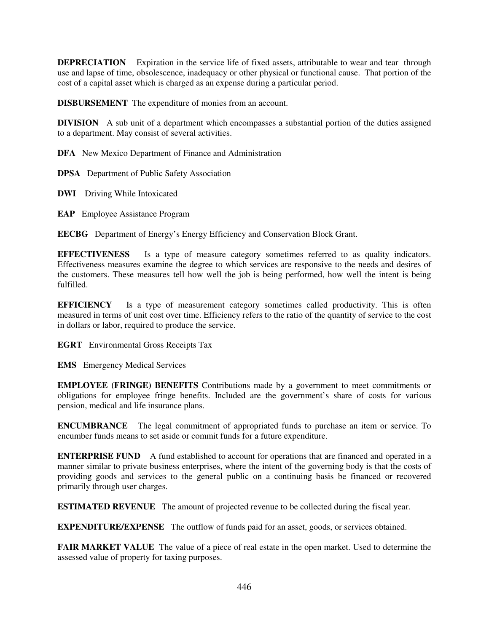**DEPRECIATION** Expiration in the service life of fixed assets, attributable to wear and tear through use and lapse of time, obsolescence, inadequacy or other physical or functional cause. That portion of the cost of a capital asset which is charged as an expense during a particular period.

**DISBURSEMENT** The expenditure of monies from an account.

**DIVISION** A sub unit of a department which encompasses a substantial portion of the duties assigned to a department. May consist of several activities.

**DFA** New Mexico Department of Finance and Administration

**DPSA** Department of Public Safety Association

**DWI** Driving While Intoxicated

**EAP** Employee Assistance Program

**EECBG** Department of Energy's Energy Efficiency and Conservation Block Grant.

**EFFECTIVENESS** Is a type of measure category sometimes referred to as quality indicators. Effectiveness measures examine the degree to which services are responsive to the needs and desires of the customers. These measures tell how well the job is being performed, how well the intent is being fulfilled.

**EFFICIENCY** Is a type of measurement category sometimes called productivity. This is often measured in terms of unit cost over time. Efficiency refers to the ratio of the quantity of service to the cost in dollars or labor, required to produce the service.

**EGRT** Environmental Gross Receipts Tax

**EMS** Emergency Medical Services

**EMPLOYEE (FRINGE) BENEFITS** Contributions made by a government to meet commitments or obligations for employee fringe benefits. Included are the government's share of costs for various pension, medical and life insurance plans.

**ENCUMBRANCE** The legal commitment of appropriated funds to purchase an item or service. To encumber funds means to set aside or commit funds for a future expenditure.

**ENTERPRISE FUND** A fund established to account for operations that are financed and operated in a manner similar to private business enterprises, where the intent of the governing body is that the costs of providing goods and services to the general public on a continuing basis be financed or recovered primarily through user charges.

**ESTIMATED REVENUE** The amount of projected revenue to be collected during the fiscal year.

**EXPENDITURE/EXPENSE** The outflow of funds paid for an asset, goods, or services obtained.

**FAIR MARKET VALUE** The value of a piece of real estate in the open market. Used to determine the assessed value of property for taxing purposes.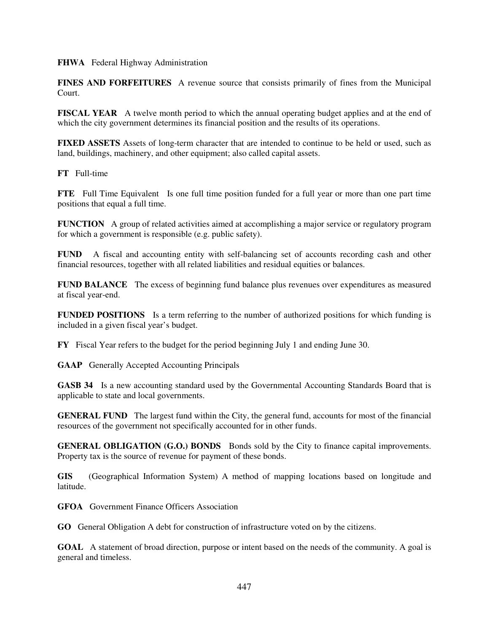**FHWA** Federal Highway Administration

**FINES AND FORFEITURES** A revenue source that consists primarily of fines from the Municipal Court.

**FISCAL YEAR** A twelve month period to which the annual operating budget applies and at the end of which the city government determines its financial position and the results of its operations.

**FIXED ASSETS** Assets of long-term character that are intended to continue to be held or used, such as land, buildings, machinery, and other equipment; also called capital assets.

**FT** Full-time

**FTE** Full Time Equivalent Is one full time position funded for a full year or more than one part time positions that equal a full time.

**FUNCTION** A group of related activities aimed at accomplishing a major service or regulatory program for which a government is responsible (e.g. public safety).

**FUND** A fiscal and accounting entity with self-balancing set of accounts recording cash and other financial resources, together with all related liabilities and residual equities or balances.

**FUND BALANCE** The excess of beginning fund balance plus revenues over expenditures as measured at fiscal year-end.

**FUNDED POSITIONS** Is a term referring to the number of authorized positions for which funding is included in a given fiscal year's budget.

**FY** Fiscal Year refers to the budget for the period beginning July 1 and ending June 30.

**GAAP** Generally Accepted Accounting Principals

**GASB 34** Is a new accounting standard used by the Governmental Accounting Standards Board that is applicable to state and local governments.

**GENERAL FUND** The largest fund within the City, the general fund, accounts for most of the financial resources of the government not specifically accounted for in other funds.

**GENERAL OBLIGATION (G.O.) BONDS** Bonds sold by the City to finance capital improvements. Property tax is the source of revenue for payment of these bonds.

**GIS** (Geographical Information System) A method of mapping locations based on longitude and latitude.

**GFOA** Government Finance Officers Association

**GO** General Obligation A debt for construction of infrastructure voted on by the citizens.

**GOAL** A statement of broad direction, purpose or intent based on the needs of the community. A goal is general and timeless.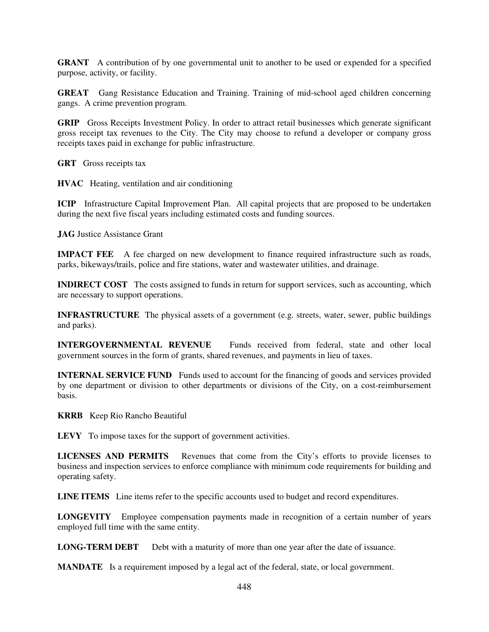**GRANT** A contribution of by one governmental unit to another to be used or expended for a specified purpose, activity, or facility.

**GREAT** Gang Resistance Education and Training. Training of mid-school aged children concerning gangs. A crime prevention program.

**GRIP** Gross Receipts Investment Policy. In order to attract retail businesses which generate significant gross receipt tax revenues to the City. The City may choose to refund a developer or company gross receipts taxes paid in exchange for public infrastructure.

**GRT** Gross receipts tax

**HVAC** Heating, ventilation and air conditioning

**ICIP** Infrastructure Capital Improvement Plan. All capital projects that are proposed to be undertaken during the next five fiscal years including estimated costs and funding sources.

**JAG** Justice Assistance Grant

**IMPACT FEE** A fee charged on new development to finance required infrastructure such as roads, parks, bikeways/trails, police and fire stations, water and wastewater utilities, and drainage.

**INDIRECT COST** The costs assigned to funds in return for support services, such as accounting, which are necessary to support operations.

**INFRASTRUCTURE** The physical assets of a government (e.g. streets, water, sewer, public buildings and parks).

**INTERGOVERNMENTAL REVENUE** Funds received from federal, state and other local government sources in the form of grants, shared revenues, and payments in lieu of taxes.

**INTERNAL SERVICE FUND** Funds used to account for the financing of goods and services provided by one department or division to other departments or divisions of the City, on a cost-reimbursement basis.

**KRRB** Keep Rio Rancho Beautiful

**LEVY** To impose taxes for the support of government activities.

**LICENSES AND PERMITS** Revenues that come from the City's efforts to provide licenses to business and inspection services to enforce compliance with minimum code requirements for building and operating safety.

**LINE ITEMS** Line items refer to the specific accounts used to budget and record expenditures.

**LONGEVITY** Employee compensation payments made in recognition of a certain number of years employed full time with the same entity.

**LONG-TERM DEBT** Debt with a maturity of more than one year after the date of issuance.

**MANDATE** Is a requirement imposed by a legal act of the federal, state, or local government.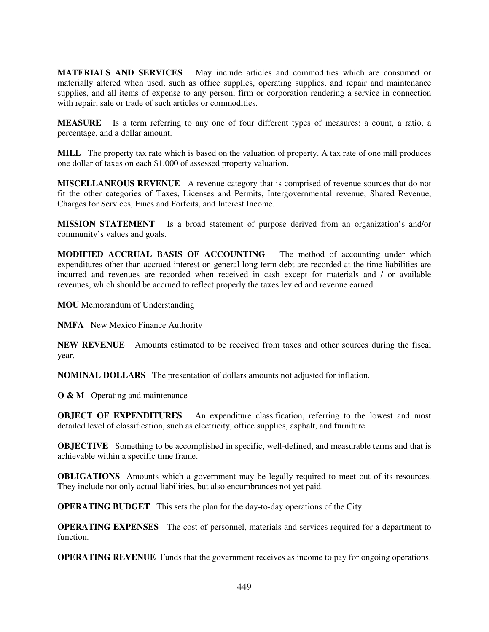**MATERIALS AND SERVICES** May include articles and commodities which are consumed or materially altered when used, such as office supplies, operating supplies, and repair and maintenance supplies, and all items of expense to any person, firm or corporation rendering a service in connection with repair, sale or trade of such articles or commodities.

**MEASURE** Is a term referring to any one of four different types of measures: a count, a ratio, a percentage, and a dollar amount.

**MILL** The property tax rate which is based on the valuation of property. A tax rate of one mill produces one dollar of taxes on each \$1,000 of assessed property valuation.

**MISCELLANEOUS REVENUE** A revenue category that is comprised of revenue sources that do not fit the other categories of Taxes, Licenses and Permits, Intergovernmental revenue, Shared Revenue, Charges for Services, Fines and Forfeits, and Interest Income.

**MISSION STATEMENT** Is a broad statement of purpose derived from an organization's and/or community's values and goals.

**MODIFIED ACCRUAL BASIS OF ACCOUNTING** The method of accounting under which expenditures other than accrued interest on general long-term debt are recorded at the time liabilities are incurred and revenues are recorded when received in cash except for materials and / or available revenues, which should be accrued to reflect properly the taxes levied and revenue earned.

**MOU** Memorandum of Understanding

**NMFA** New Mexico Finance Authority

**NEW REVENUE** Amounts estimated to be received from taxes and other sources during the fiscal year.

**NOMINAL DOLLARS** The presentation of dollars amounts not adjusted for inflation.

**O & M** Operating and maintenance

**OBJECT OF EXPENDITURES** An expenditure classification, referring to the lowest and most detailed level of classification, such as electricity, office supplies, asphalt, and furniture.

**OBJECTIVE** Something to be accomplished in specific, well-defined, and measurable terms and that is achievable within a specific time frame.

**OBLIGATIONS** Amounts which a government may be legally required to meet out of its resources. They include not only actual liabilities, but also encumbrances not yet paid.

**OPERATING BUDGET** This sets the plan for the day-to-day operations of the City.

**OPERATING EXPENSES** The cost of personnel, materials and services required for a department to function.

**OPERATING REVENUE** Funds that the government receives as income to pay for ongoing operations.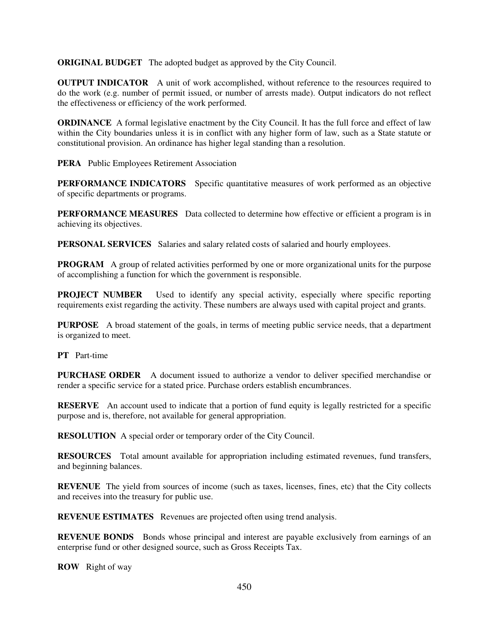**ORIGINAL BUDGET** The adopted budget as approved by the City Council.

**OUTPUT INDICATOR** A unit of work accomplished, without reference to the resources required to do the work (e.g. number of permit issued, or number of arrests made). Output indicators do not reflect the effectiveness or efficiency of the work performed.

**ORDINANCE** A formal legislative enactment by the City Council. It has the full force and effect of law within the City boundaries unless it is in conflict with any higher form of law, such as a State statute or constitutional provision. An ordinance has higher legal standing than a resolution.

**PERA** Public Employees Retirement Association

**PERFORMANCE INDICATORS** Specific quantitative measures of work performed as an objective of specific departments or programs.

**PERFORMANCE MEASURES** Data collected to determine how effective or efficient a program is in achieving its objectives.

**PERSONAL SERVICES** Salaries and salary related costs of salaried and hourly employees.

**PROGRAM** A group of related activities performed by one or more organizational units for the purpose of accomplishing a function for which the government is responsible.

**PROJECT NUMBER** Used to identify any special activity, especially where specific reporting requirements exist regarding the activity. These numbers are always used with capital project and grants.

**PURPOSE** A broad statement of the goals, in terms of meeting public service needs, that a department is organized to meet.

**PT** Part-time

**PURCHASE ORDER** A document issued to authorize a vendor to deliver specified merchandise or render a specific service for a stated price. Purchase orders establish encumbrances.

**RESERVE** An account used to indicate that a portion of fund equity is legally restricted for a specific purpose and is, therefore, not available for general appropriation.

**RESOLUTION** A special order or temporary order of the City Council.

**RESOURCES** Total amount available for appropriation including estimated revenues, fund transfers, and beginning balances.

**REVENUE** The yield from sources of income (such as taxes, licenses, fines, etc) that the City collects and receives into the treasury for public use.

**REVENUE ESTIMATES** Revenues are projected often using trend analysis.

**REVENUE BONDS** Bonds whose principal and interest are payable exclusively from earnings of an enterprise fund or other designed source, such as Gross Receipts Tax.

**ROW** Right of way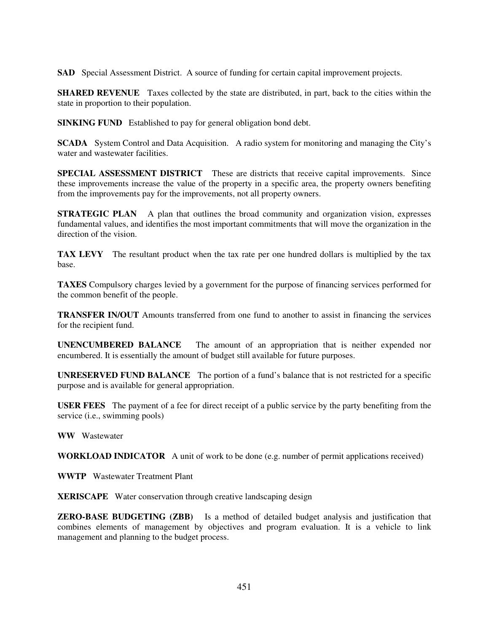**SAD** Special Assessment District. A source of funding for certain capital improvement projects.

**SHARED REVENUE** Taxes collected by the state are distributed, in part, back to the cities within the state in proportion to their population.

**SINKING FUND** Established to pay for general obligation bond debt.

**SCADA** System Control and Data Acquisition. A radio system for monitoring and managing the City's water and wastewater facilities.

**SPECIAL ASSESSMENT DISTRICT** These are districts that receive capital improvements. Since these improvements increase the value of the property in a specific area, the property owners benefiting from the improvements pay for the improvements, not all property owners.

**STRATEGIC PLAN** A plan that outlines the broad community and organization vision, expresses fundamental values, and identifies the most important commitments that will move the organization in the direction of the vision.

**TAX LEVY** The resultant product when the tax rate per one hundred dollars is multiplied by the tax base.

**TAXES** Compulsory charges levied by a government for the purpose of financing services performed for the common benefit of the people.

**TRANSFER IN/OUT** Amounts transferred from one fund to another to assist in financing the services for the recipient fund.

**UNENCUMBERED BALANCE** The amount of an appropriation that is neither expended nor encumbered. It is essentially the amount of budget still available for future purposes.

**UNRESERVED FUND BALANCE** The portion of a fund's balance that is not restricted for a specific purpose and is available for general appropriation.

**USER FEES** The payment of a fee for direct receipt of a public service by the party benefiting from the service (i.e., swimming pools)

**WW** Wastewater

**WORKLOAD INDICATOR** A unit of work to be done (e.g. number of permit applications received)

**WWTP** Wastewater Treatment Plant

**XERISCAPE** Water conservation through creative landscaping design

**ZERO-BASE BUDGETING (ZBB)** Is a method of detailed budget analysis and justification that combines elements of management by objectives and program evaluation. It is a vehicle to link management and planning to the budget process.